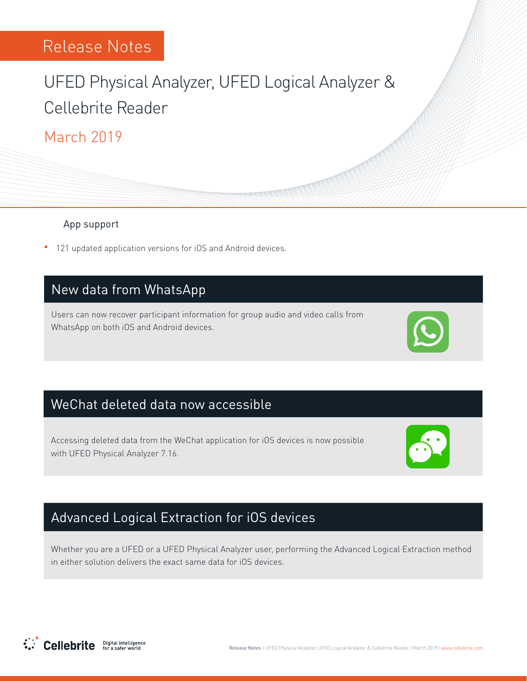# UFED Physical Analyzer, UFED Logical Analyzer & Cellebrite Reader

### March 2019

#### App support

<sup>•</sup> 121 updated application versions for iOS and Android devices.

### New data from WhatsApp

Users can now recover participant information for group audio and video calls from WhatsApp on both iOS and Android devices.



### WeChat deleted data now accessible

Accessing deleted data from the WeChat application for iOS devices is now possible with UFED Physical Analyzer 7.16.



### Advanced Logical Extraction for iOS devices

Whether you are a UFED or a UFED Physical Analyzer user, performing the Advanced Logical Extraction method in either solution delivers the exact same data for iOS devices.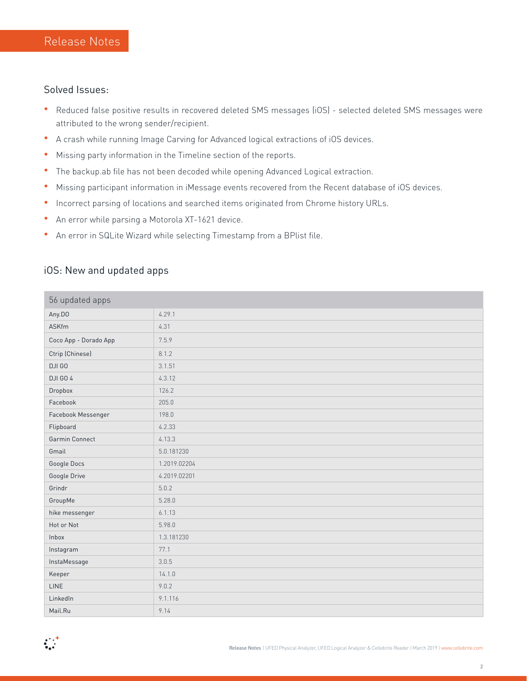#### Solved Issues:

- Reduced false positive results in recovered deleted SMS messages (iOS) selected deleted SMS messages were attributed to the wrong sender/recipient.
- A crash while running Image Carving for Advanced logical extractions of iOS devices.
- Missing party information in the Timeline section of the reports.
- The backup.ab file has not been decoded while opening Advanced Logical extraction.
- Missing participant information in iMessage events recovered from the Recent database of iOS devices.
- Incorrect parsing of locations and searched items originated from Chrome history URLs.
- An error while parsing a Motorola XT-1621 device.
- An error in SQLite Wizard while selecting Timestamp from a BPlist file.

### iOS: New and updated apps

| 56 updated apps       |              |  |
|-----------------------|--------------|--|
| Any.DO                | 4.29.1       |  |
| ASKfm                 | 4.31         |  |
| Coco App - Dorado App | 7.5.9        |  |
| Ctrip (Chinese)       | 8.1.2        |  |
| DJI GO                | 3.1.51       |  |
| DJI GO 4              | 4.3.12       |  |
| Dropbox               | 126.2        |  |
| Facebook              | 205.0        |  |
| Facebook Messenger    | 198.0        |  |
| Flipboard             | 4.2.33       |  |
| Garmin Connect        | 4.13.3       |  |
| Gmail                 | 5.0.181230   |  |
| Google Docs           | 1.2019.02204 |  |
| Google Drive          | 4.2019.02201 |  |
| Grindr                | 5.0.2        |  |
| GroupMe               | 5.28.0       |  |
| hike messenger        | 6.1.13       |  |
| Hot or Not            | 5.98.0       |  |
| Inbox                 | 1.3.181230   |  |
| Instagram             | 77.1         |  |
| InstaMessage          | 3.0.5        |  |
| Keeper                | 14.1.0       |  |
| <b>LINE</b>           | 9.0.2        |  |
| LinkedIn              | 9.1.116      |  |
| Mail.Ru               | 9.14         |  |

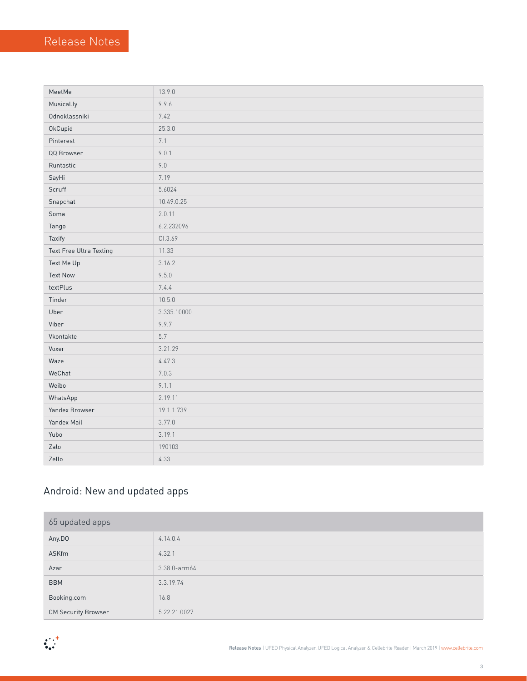| MeetMe                  | 13.9.0      |
|-------------------------|-------------|
| Musical.ly              | 9.9.6       |
| Odnoklassniki           | 7.42        |
| OkCupid                 | 25.3.0      |
| Pinterest               | 7.1         |
| QQ Browser              | 9.0.1       |
| Runtastic               | $9.0\,$     |
| SayHi                   | 7.19        |
| Scruff                  | 5.6024      |
| Snapchat                | 10.49.0.25  |
| Soma                    | 2.0.11      |
| Tango                   | 6.2.232096  |
| Taxify                  | CI.3.69     |
| Text Free Ultra Texting | 11.33       |
| Text Me Up              | 3.16.2      |
| <b>Text Now</b>         | 9.5.0       |
| textPlus                | 7.4.4       |
| Tinder                  | 10.5.0      |
| Uber                    | 3.335.10000 |
| Viber                   | 9.9.7       |
| Vkontakte               | 5.7         |
| Voxer                   | 3.21.29     |
| Waze                    | 4.47.3      |
| WeChat                  | 7.0.3       |
| Weibo                   | 9.1.1       |
| WhatsApp                | 2.19.11     |
| Yandex Browser          | 19.1.1.739  |
| Yandex Mail             | 3.77.0      |
| Yubo                    | 3.19.1      |
| Zalo                    | 190103      |
| Zello                   | 4.33        |

### Android: New and updated apps

| 65 updated apps            |              |  |
|----------------------------|--------------|--|
| Any.DO                     | 4.14.0.4     |  |
| ASKfm                      | 4.32.1       |  |
| Azar                       | 3.38.0-arm64 |  |
| <b>BBM</b>                 | 3.3.19.74    |  |
| Booking.com                | 16.8         |  |
| <b>CM Security Browser</b> | 5.22.21.0027 |  |

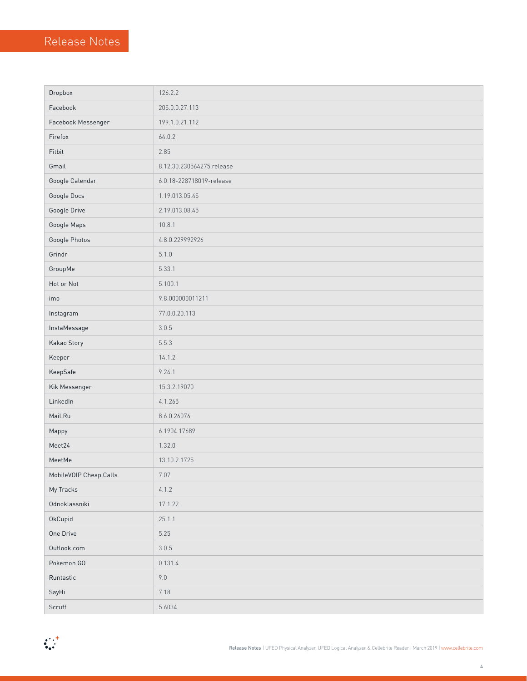| Dropbox                | 126.2.2                   |  |
|------------------------|---------------------------|--|
| Facebook               | 205.0.0.27.113            |  |
| Facebook Messenger     | 199.1.0.21.112            |  |
| Firefox                | 64.0.2                    |  |
| Fitbit                 | 2.85                      |  |
| Gmail                  | 8.12.30.230564275.release |  |
| Google Calendar        | 6.0.18-228718019-release  |  |
| Google Docs            | 1.19.013.05.45            |  |
| Google Drive           | 2.19.013.08.45            |  |
| Google Maps            | 10.8.1                    |  |
| Google Photos          | 4.8.0.229992926           |  |
| Grindr                 | 5.1.0                     |  |
| GroupMe                | 5.33.1                    |  |
| Hot or Not             | 5.100.1                   |  |
| imo                    | 9.8.000000011211          |  |
| Instagram              | 77.0.0.20.113             |  |
| InstaMessage           | 3.0.5                     |  |
| Kakao Story            | 5.5.3                     |  |
| Keeper                 | 14.1.2                    |  |
| KeepSafe               | 9.24.1                    |  |
| Kik Messenger          | 15.3.2.19070              |  |
| LinkedIn               | 4.1.265                   |  |
| Mail.Ru                | 8.6.0.26076               |  |
| Mappy                  | 6.1904.17689              |  |
| Meet24                 | 1.32.0                    |  |
| MeetMe                 | 13.10.2.1725              |  |
| MobileVOIP Cheap Calls | 7.07                      |  |
| My Tracks              | 4.1.2                     |  |
| Odnoklassniki          | 17.1.22                   |  |
| OkCupid                | 25.1.1                    |  |
| One Drive              | 5.25                      |  |
| Outlook.com            | 3.0.5                     |  |
| Pokemon GO             | 0.131.4                   |  |
| Runtastic              | $9.0$                     |  |
| SayHi                  | 7.18                      |  |
| Scruff                 | 5.6034                    |  |